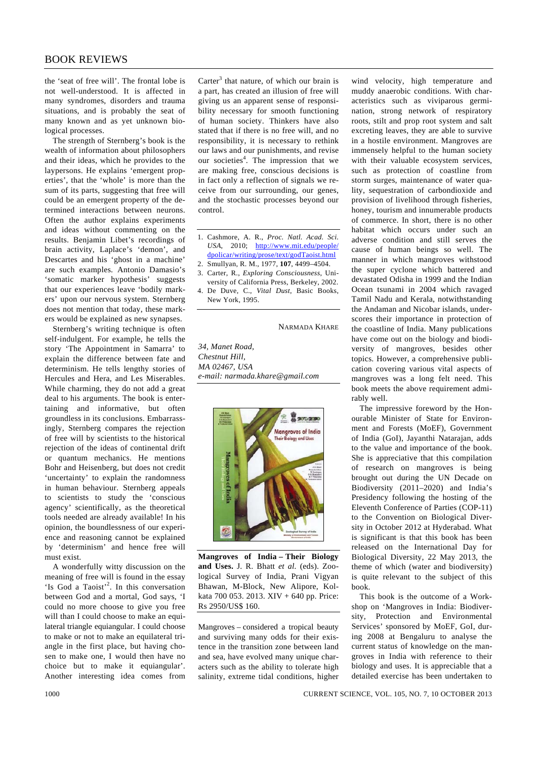the 'seat of free will'. The frontal lobe is not well-understood. It is affected in many syndromes, disorders and trauma situations, and is probably the seat of many known and as yet unknown biological processes.

 The strength of Sternberg's book is the wealth of information about philosophers and their ideas, which he provides to the laypersons. He explains 'emergent properties', that the 'whole' is more than the sum of its parts, suggesting that free will could be an emergent property of the determined interactions between neurons. Often the author explains experiments and ideas without commenting on the results. Benjamin Libet's recordings of brain activity, Laplace's 'demon', and Descartes and his 'ghost in a machine' are such examples. Antonio Damasio's 'somatic marker hypothesis' suggests that our experiences leave 'bodily markers' upon our nervous system. Sternberg does not mention that today, these markers would be explained as new synapses.

 Sternberg's writing technique is often self-indulgent. For example, he tells the story 'The Appointment in Samarra' to explain the difference between fate and determinism. He tells lengthy stories of Hercules and Hera, and Les Miserables. While charming, they do not add a great deal to his arguments. The book is entertaining and informative, but often groundless in its conclusions. Embarrassingly, Sternberg compares the rejection of free will by scientists to the historical rejection of the ideas of continental drift or quantum mechanics. He mentions Bohr and Heisenberg, but does not credit 'uncertainty' to explain the randomness in human behaviour. Sternberg appeals to scientists to study the 'conscious agency' scientifically, as the theoretical tools needed are already available! In his opinion, the boundlessness of our experience and reasoning cannot be explained by 'determinism' and hence free will must exist.

 A wonderfully witty discussion on the meaning of free will is found in the essay 'Is God a Taoist'<sup>2</sup>. In this conversation between God and a mortal, God says, 'I could no more choose to give you free will than I could choose to make an equilateral triangle equiangular. I could choose to make or not to make an equilateral triangle in the first place, but having chosen to make one, I would then have no choice but to make it equiangular'. Another interesting idea comes from

Carter $3$  that nature, of which our brain is a part, has created an illusion of free will giving us an apparent sense of responsibility necessary for smooth functioning of human society. Thinkers have also stated that if there is no free will, and no responsibility, it is necessary to rethink our laws and our punishments, and revise our societies<sup>4</sup>. The impression that we are making free, conscious decisions is in fact only a reflection of signals we receive from our surrounding, our genes, and the stochastic processes beyond our control.

- 1. Cashmore, A. R., *Proc. Natl. Acad. Sci. USA*, 2010; http://www.mit.edu/people/ dpolicar/writing/prose/text/godTaoist.html 2. Smullyan, R. M., 1977, **107**, 4499–4504.
- 3. Carter, R., *Exploring Consciousness*, Uni-
- versity of California Press, Berkeley, 2002. 4. De Duve, C., *Vital Dust*, Basic Books,
- New York, 1995.

NARMADA KHARE

*34, Manet Road, Chestnut Hill, MA 02467, USA e-mail: narmada.khare@gmail.com* 



**Mangroves of India – Their Biology and Uses.** J. R. Bhatt *et al.* (eds). Zoological Survey of India, Prani Vigyan Bhawan, M-Block, New Alipore, Kolkata 700 053. 2013. XIV + 640 pp. Price: Rs 2950/US\$ 160.

Mangroves – considered a tropical beauty and surviving many odds for their existence in the transition zone between land and sea, have evolved many unique characters such as the ability to tolerate high salinity, extreme tidal conditions, higher wind velocity, high temperature and muddy anaerobic conditions. With characteristics such as viviparous germination, strong network of respiratory roots, stilt and prop root system and salt excreting leaves, they are able to survive in a hostile environment. Mangroves are immensely helpful to the human society with their valuable ecosystem services, such as protection of coastline from storm surges, maintenance of water quality, sequestration of carbondioxide and provision of livelihood through fisheries, honey, tourism and innumerable products of commerce. In short, there is no other habitat which occurs under such an adverse condition and still serves the cause of human beings so well. The manner in which mangroves withstood the super cyclone which battered and devastated Odisha in 1999 and the Indian Ocean tsunami in 2004 which ravaged Tamil Nadu and Kerala, notwithstanding the Andaman and Nicobar islands, underscores their importance in protection of the coastline of India. Many publications have come out on the biology and biodiversity of mangroves, besides other topics. However, a comprehensive publication covering various vital aspects of mangroves was a long felt need. This book meets the above requirement admirably well.

 The impressive foreword by the Honourable Minister of State for Environment and Forests (MoEF), Government of India (GoI), Jayanthi Natarajan, adds to the value and importance of the book. She is appreciative that this compilation of research on mangroves is being brought out during the UN Decade on Biodiversity (2011–2020) and India's Presidency following the hosting of the Eleventh Conference of Parties (COP-11) to the Convention on Biological Diversity in October 2012 at Hyderabad. What is significant is that this book has been released on the International Day for Biological Diversity, 22 May 2013, the theme of which (water and biodiversity) is quite relevant to the subject of this book.

 This book is the outcome of a Workshop on 'Mangroves in India: Biodiversity, Protection and Environmental Services' sponsored by MoEF, GoI, during 2008 at Bengaluru to analyse the current status of knowledge on the mangroves in India with reference to their biology and uses. It is appreciable that a detailed exercise has been undertaken to